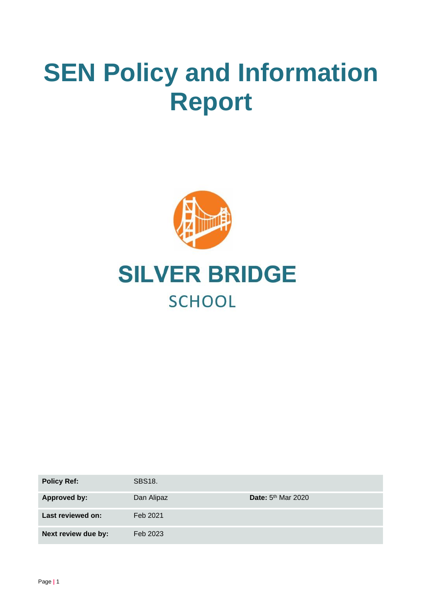# **SEN Policy and Information Report**



## **SILVER BRIDGE SCHOOL**

| <b>Policy Ref:</b>  | <b>SBS18.</b> |                      |
|---------------------|---------------|----------------------|
| Approved by:        | Dan Alipaz    | Date: $5th$ Mar 2020 |
| Last reviewed on:   | Feb 2021      |                      |
| Next review due by: | Feb 2023      |                      |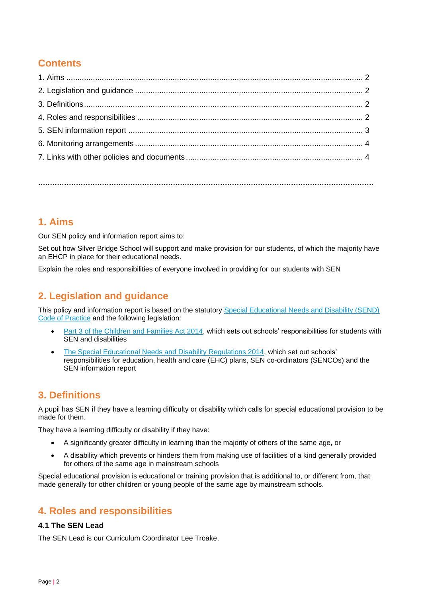## **Contents**

**…………………………………………………………………………………………………………………………….**

## **1. Aims**

Our SEN policy and information report aims to:

Set out how Silver Bridge School will support and make provision for our students, of which the majority have an EHCP in place for their educational needs.

Explain the roles and responsibilities of everyone involved in providing for our students with SEN

## **2. Legislation and guidance**

This policy and information report is based on the statutory [Special Educational Needs and Disability \(SEND\)](https://www.gov.uk/government/uploads/system/uploads/attachment_data/file/398815/SEND_Code_of_Practice_January_2015.pdf)  [Code of Practice](https://www.gov.uk/government/uploads/system/uploads/attachment_data/file/398815/SEND_Code_of_Practice_January_2015.pdf) and the following legislation:

- [Part 3 of the Children and Families Act 2014,](http://www.legislation.gov.uk/ukpga/2014/6/part/3) which sets out schools' responsibilities for students with SEN and disabilities
- [The Special Educational Needs and Disability Regulations 2014,](http://www.legislation.gov.uk/uksi/2014/1530/contents/made) which set out schools' responsibilities for education, health and care (EHC) plans, SEN co-ordinators (SENCOs) and the SEN information report

## **3. Definitions**

A pupil has SEN if they have a learning difficulty or disability which calls for special educational provision to be made for them.

They have a learning difficulty or disability if they have:

- A significantly greater difficulty in learning than the majority of others of the same age, or
- A disability which prevents or hinders them from making use of facilities of a kind generally provided for others of the same age in mainstream schools

Special educational provision is educational or training provision that is additional to, or different from, that made generally for other children or young people of the same age by mainstream schools.

## **4. Roles and responsibilities**

#### **4.1 The SEN Lead**

The SEN Lead is our Curriculum Coordinator Lee Troake.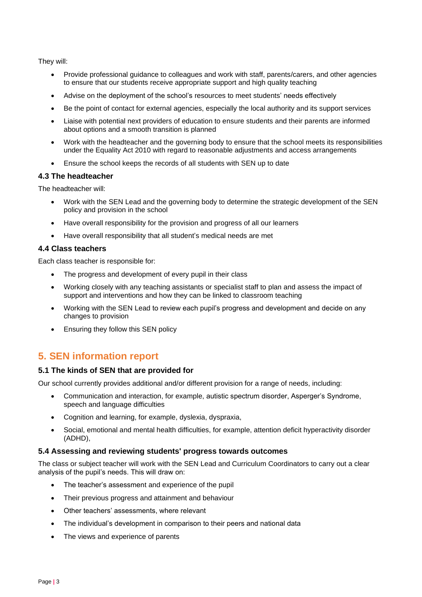They will:

- Provide professional guidance to colleagues and work with staff, parents/carers, and other agencies to ensure that our students receive appropriate support and high quality teaching
- Advise on the deployment of the school's resources to meet students' needs effectively
- Be the point of contact for external agencies, especially the local authority and its support services
- Liaise with potential next providers of education to ensure students and their parents are informed about options and a smooth transition is planned
- Work with the headteacher and the governing body to ensure that the school meets its responsibilities under the Equality Act 2010 with regard to reasonable adjustments and access arrangements
- Ensure the school keeps the records of all students with SEN up to date

#### **4.3 The headteacher**

The headteacher will:

- Work with the SEN Lead and the governing body to determine the strategic development of the SEN policy and provision in the school
- Have overall responsibility for the provision and progress of all our learners
- Have overall responsibility that all student's medical needs are met

#### **4.4 Class teachers**

Each class teacher is responsible for:

- The progress and development of every pupil in their class
- Working closely with any teaching assistants or specialist staff to plan and assess the impact of support and interventions and how they can be linked to classroom teaching
- Working with the SEN Lead to review each pupil's progress and development and decide on any changes to provision
- Ensuring they follow this SEN policy

## **5. SEN information report**

#### **5.1 The kinds of SEN that are provided for**

Our school currently provides additional and/or different provision for a range of needs, including:

- Communication and interaction, for example, autistic spectrum disorder, Asperger's Syndrome, speech and language difficulties
- Cognition and learning, for example, dyslexia, dyspraxia,
- Social, emotional and mental health difficulties, for example, attention deficit hyperactivity disorder (ADHD),

#### **5.4 Assessing and reviewing students' progress towards outcomes**

The class or subject teacher will work with the SEN Lead and Curriculum Coordinators to carry out a clear analysis of the pupil's needs. This will draw on:

- The teacher's assessment and experience of the pupil
- Their previous progress and attainment and behaviour
- Other teachers' assessments, where relevant
- The individual's development in comparison to their peers and national data
- The views and experience of parents